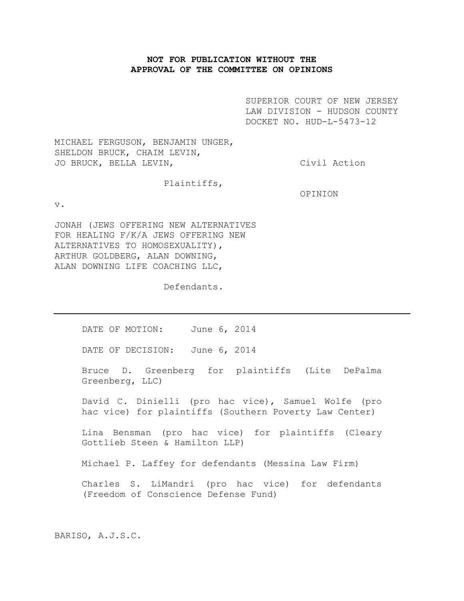# **NOT FOR PUBLICATION WITHOUT THE APPROVAL OF THE COMMITTEE ON OPINIONS**

SUPERIOR COURT OF NEW JERSEY LAW DIVISION - HUDSON COUNTY DOCKET NO. HUD-L-5473-12

MICHAEL FERGUSON, BENJAMIN UNGER, SHELDON BRUCK, CHAIM LEVIN, JO BRUCK, BELLA LEVIN, The Civil Action

Plaintiffs,

OPINION

v.

JONAH (JEWS OFFERING NEW ALTERNATIVES FOR HEALING F/K/A JEWS OFFERING NEW ALTERNATIVES TO HOMOSEXUALITY), ARTHUR GOLDBERG, ALAN DOWNING, ALAN DOWNING LIFE COACHING LLC,

Defendants.

DATE OF MOTION: June 6, 2014

DATE OF DECISION: June 6, 2014

Bruce D. Greenberg for plaintiffs (Lite DePalma Greenberg, LLC)

David C. Dinielli (pro hac vice), Samuel Wolfe (pro hac vice) for plaintiffs (Southern Poverty Law Center)

Lina Bensman (pro hac vice) for plaintiffs (Cleary Gottlieb Steen & Hamilton LLP)

Michael P. Laffey for defendants (Messina Law Firm)

Charles S. LiMandri (pro hac vice) for defendants (Freedom of Conscience Defense Fund)

BARISO, A.J.S.C.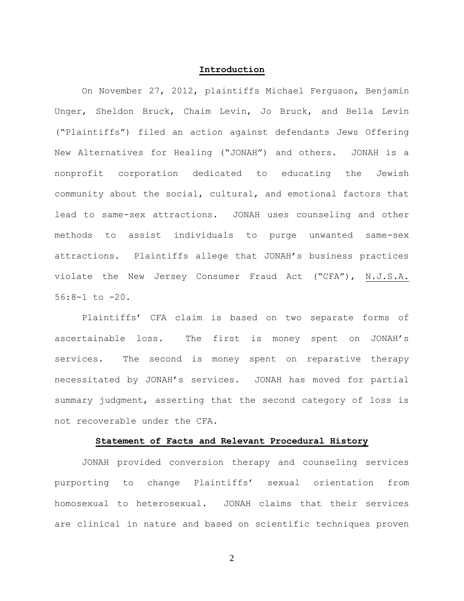#### **Introduction**

On November 27, 2012, plaintiffs Michael Ferguson, Benjamin Unger, Sheldon Bruck, Chaim Levin, Jo Bruck, and Bella Levin ("Plaintiffs") filed an action against defendants Jews Offering New Alternatives for Healing ("JONAH") and others. JONAH is a nonprofit corporation dedicated to educating the Jewish community about the social, cultural, and emotional factors that lead to same-sex attractions. JONAH uses counseling and other methods to assist individuals to purge unwanted same-sex attractions. Plaintiffs allege that JONAH's business practices violate the New Jersey Consumer Fraud Act ("CFA"), N.J.S.A. 56:8-1 to -20.

Plaintiffs' CFA claim is based on two separate forms of ascertainable loss. The first is money spent on JONAH's services. The second is money spent on reparative therapy necessitated by JONAH's services. JONAH has moved for partial summary judgment, asserting that the second category of loss is not recoverable under the CFA.

## **Statement of Facts and Relevant Procedural History**

JONAH provided conversion therapy and counseling services purporting to change Plaintiffs' sexual orientation from homosexual to heterosexual. JONAH claims that their services are clinical in nature and based on scientific techniques proven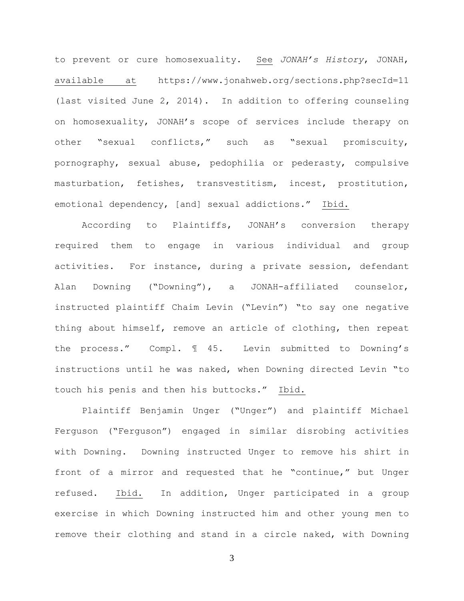to prevent or cure homosexuality. See *JONAH's History*, JONAH, available at https://www.jonahweb.org/sections.php?secId=11 (last visited June 2, 2014). In addition to offering counseling on homosexuality, JONAH's scope of services include therapy on other "sexual conflicts," such as "sexual promiscuity, pornography, sexual abuse, pedophilia or pederasty, compulsive masturbation, fetishes, transvestitism, incest, prostitution, emotional dependency, [and] sexual addictions." Ibid.

According to Plaintiffs, JONAH's conversion therapy required them to engage in various individual and group activities. For instance, during a private session, defendant Alan Downing ("Downing"), a JONAH-affiliated counselor, instructed plaintiff Chaim Levin ("Levin") "to say one negative thing about himself, remove an article of clothing, then repeat the process." Compl. ¶ 45. Levin submitted to Downing's instructions until he was naked, when Downing directed Levin "to touch his penis and then his buttocks." Ibid.

Plaintiff Benjamin Unger ("Unger") and plaintiff Michael Ferguson ("Ferguson") engaged in similar disrobing activities with Downing. Downing instructed Unger to remove his shirt in front of a mirror and requested that he "continue," but Unger refused. Ibid. In addition, Unger participated in a group exercise in which Downing instructed him and other young men to remove their clothing and stand in a circle naked, with Downing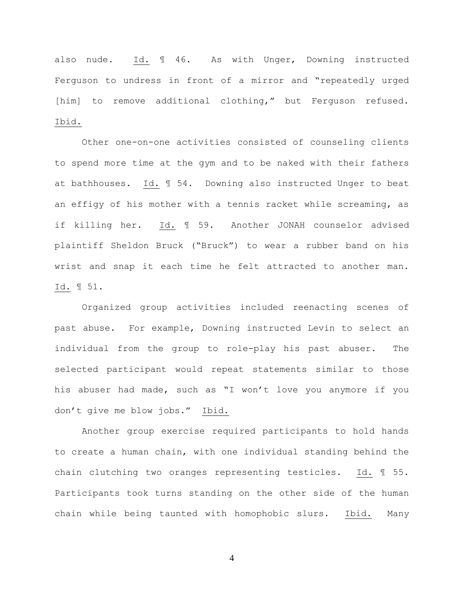also nude. Id. ¶ 46. As with Unger, Downing instructed Ferguson to undress in front of a mirror and "repeatedly urged [him] to remove additional clothing," but Ferguson refused. Ibid.

Other one-on-one activities consisted of counseling clients to spend more time at the gym and to be naked with their fathers at bathhouses. Id. ¶ 54. Downing also instructed Unger to beat an effigy of his mother with a tennis racket while screaming, as if killing her. Id. ¶ 59. Another JONAH counselor advised plaintiff Sheldon Bruck ("Bruck") to wear a rubber band on his wrist and snap it each time he felt attracted to another man. Id. ¶ 51.

Organized group activities included reenacting scenes of past abuse. For example, Downing instructed Levin to select an individual from the group to role-play his past abuser. The selected participant would repeat statements similar to those his abuser had made, such as "I won't love you anymore if you don't give me blow jobs." Ibid.

Another group exercise required participants to hold hands to create a human chain, with one individual standing behind the chain clutching two oranges representing testicles. Id. ¶ 55. Participants took turns standing on the other side of the human chain while being taunted with homophobic slurs. Ibid. Many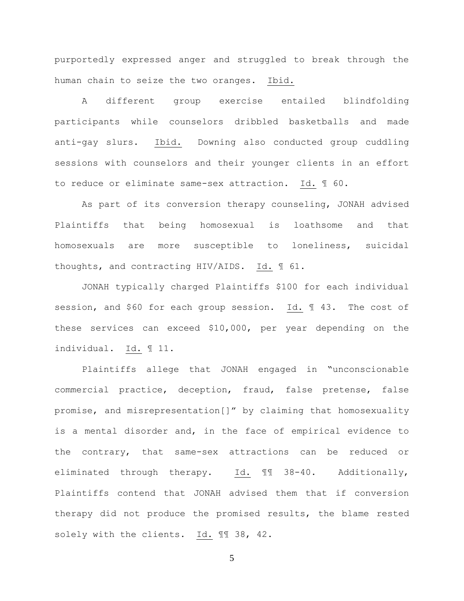purportedly expressed anger and struggled to break through the human chain to seize the two oranges. Ibid.

A different group exercise entailed blindfolding participants while counselors dribbled basketballs and made anti-gay slurs. Ibid. Downing also conducted group cuddling sessions with counselors and their younger clients in an effort to reduce or eliminate same-sex attraction. Id. ¶ 60.

As part of its conversion therapy counseling, JONAH advised Plaintiffs that being homosexual is loathsome and that homosexuals are more susceptible to loneliness, suicidal thoughts, and contracting HIV/AIDS. Id. ¶ 61.

JONAH typically charged Plaintiffs \$100 for each individual session, and \$60 for each group session. Id. ¶ 43. The cost of these services can exceed \$10,000, per year depending on the individual. Id. ¶ 11.

Plaintiffs allege that JONAH engaged in "unconscionable commercial practice, deception, fraud, false pretense, false promise, and misrepresentation[]" by claiming that homosexuality is a mental disorder and, in the face of empirical evidence to the contrary, that same-sex attractions can be reduced or eliminated through therapy. Id. ¶¶ 38-40. Additionally, Plaintiffs contend that JONAH advised them that if conversion therapy did not produce the promised results, the blame rested solely with the clients. Id. ¶¶ 38, 42.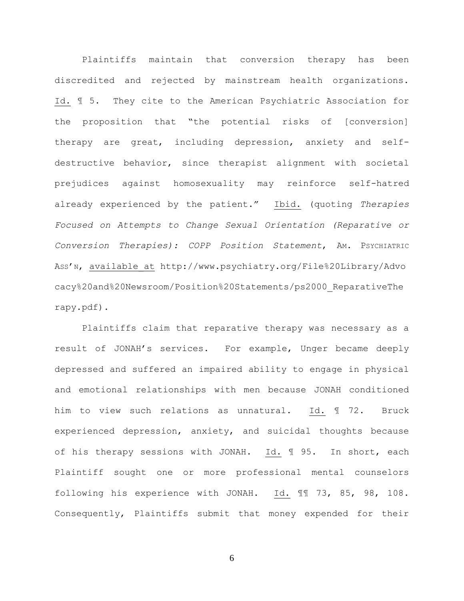Plaintiffs maintain that conversion therapy has been discredited and rejected by mainstream health organizations. Id. ¶ 5. They cite to the American Psychiatric Association for the proposition that "the potential risks of [conversion] therapy are great, including depression, anxiety and selfdestructive behavior, since therapist alignment with societal prejudices against homosexuality may reinforce self-hatred already experienced by the patient." Ibid. (quoting *Therapies Focused on Attempts to Change Sexual Orientation (Reparative or Conversion Therapies): COPP Position Statement*, AM. PSYCHIATRIC ASS'N, available\_at http://www.psychiatry.org/File%20Library/Advo cacy%20and%20Newsroom/Position%20Statements/ps2000\_ReparativeThe rapy.pdf).

Plaintiffs claim that reparative therapy was necessary as a result of JONAH's services. For example, Unger became deeply depressed and suffered an impaired ability to engage in physical and emotional relationships with men because JONAH conditioned him to view such relations as unnatural. Id. ¶ 72. Bruck experienced depression, anxiety, and suicidal thoughts because of his therapy sessions with JONAH. Id. ¶ 95. In short, each Plaintiff sought one or more professional mental counselors following his experience with JONAH. Id. ¶¶ 73, 85, 98, 108. Consequently, Plaintiffs submit that money expended for their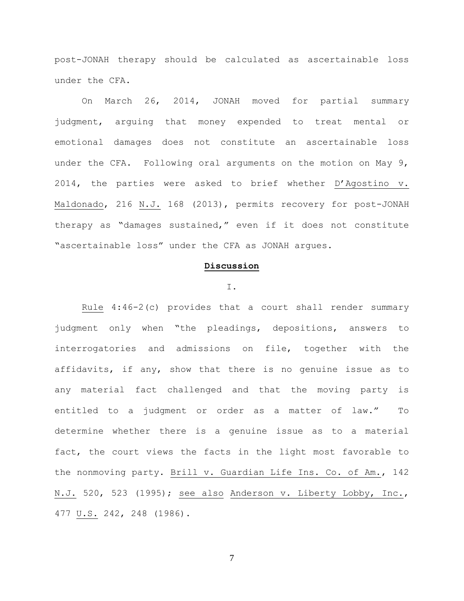post-JONAH therapy should be calculated as ascertainable loss under the CFA.

On March 26, 2014, JONAH moved for partial summary judgment, arguing that money expended to treat mental or emotional damages does not constitute an ascertainable loss under the CFA. Following oral arguments on the motion on May 9, 2014, the parties were asked to brief whether D'Agostino v. Maldonado, 216 N.J. 168 (2013), permits recovery for post-JONAH therapy as "damages sustained," even if it does not constitute "ascertainable loss" under the CFA as JONAH argues.

### **Discussion**

#### I.

Rule 4:46-2(c) provides that a court shall render summary judgment only when "the pleadings, depositions, answers to interrogatories and admissions on file, together with the affidavits, if any, show that there is no genuine issue as to any material fact challenged and that the moving party is entitled to a judgment or order as a matter of law." To determine whether there is a genuine issue as to a material fact, the court views the facts in the light most favorable to the nonmoving party. Brill v. Guardian Life Ins. Co. of Am., 142 N.J. 520, 523 (1995); see also Anderson v. Liberty Lobby, Inc., 477 U.S. 242, 248 (1986).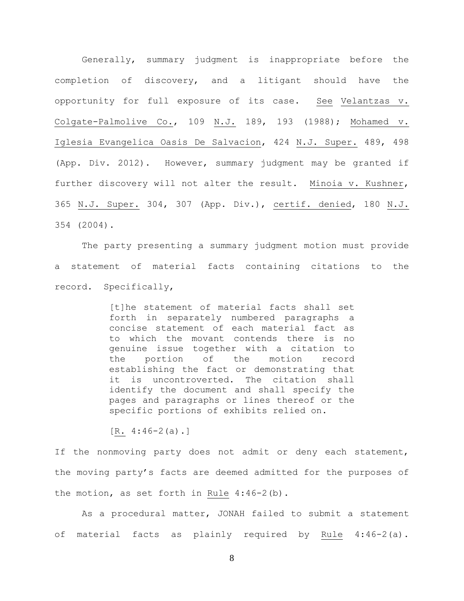Generally, summary judgment is inappropriate before the completion of discovery, and a litigant should have the opportunity for full exposure of its case. See Velantzas v. Colgate-Palmolive Co., 109 N.J. 189, 193 (1988); Mohamed v. Iglesia Evangelica Oasis De Salvacion, 424 N.J. Super. 489, 498 (App. Div. 2012). However, summary judgment may be granted if further discovery will not alter the result. Minoia v. Kushner, 365 N.J. Super. 304, 307 (App. Div.), certif. denied, 180 N.J. 354 (2004).

The party presenting a summary judgment motion must provide a statement of material facts containing citations to the record. Specifically,

> [t]he statement of material facts shall set forth in separately numbered paragraphs a concise statement of each material fact as to which the movant contends there is no genuine issue together with a citation to the portion of the motion record establishing the fact or demonstrating that it is uncontroverted. The citation shall identify the document and shall specify the pages and paragraphs or lines thereof or the specific portions of exhibits relied on.

 $[R. 4:46-2(a).]$ 

If the nonmoving party does not admit or deny each statement, the moving party's facts are deemed admitted for the purposes of the motion, as set forth in Rule 4:46-2(b).

As a procedural matter, JONAH failed to submit a statement of material facts as plainly required by Rule 4:46-2(a).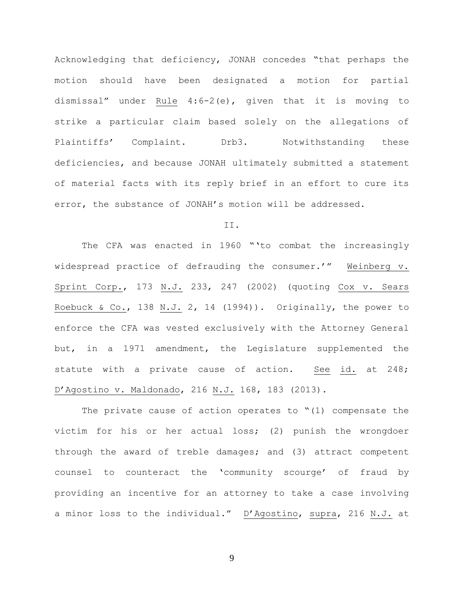Acknowledging that deficiency, JONAH concedes "that perhaps the motion should have been designated a motion for partial dismissal" under Rule 4:6-2(e), given that it is moving to strike a particular claim based solely on the allegations of Plaintiffs' Complaint. Drb3. Notwithstanding these deficiencies, and because JONAH ultimately submitted a statement of material facts with its reply brief in an effort to cure its error, the substance of JONAH's motion will be addressed.

## II.

The CFA was enacted in 1960 "'to combat the increasingly widespread practice of defrauding the consumer.'" Weinberg v. Sprint Corp., 173 N.J. 233, 247 (2002) (quoting Cox v. Sears Roebuck & Co., 138 N.J. 2, 14 (1994)). Originally, the power to enforce the CFA was vested exclusively with the Attorney General but, in a 1971 amendment, the Legislature supplemented the statute with a private cause of action. See id. at 248; D'Agostino v. Maldonado, 216 N.J. 168, 183 (2013).

The private cause of action operates to  $" (1)$  compensate the victim for his or her actual loss; (2) punish the wrongdoer through the award of treble damages; and (3) attract competent counsel to counteract the 'community scourge' of fraud by providing an incentive for an attorney to take a case involving a minor loss to the individual." D'Agostino, supra, 216 N.J. at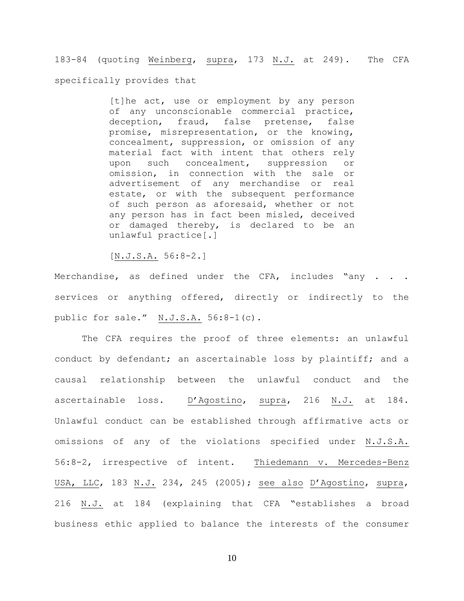183-84 (quoting Weinberg, supra, 173 N.J. at 249). The CFA specifically provides that

> [t]he act, use or employment by any person of any unconscionable commercial practice, deception, fraud, false pretense, false promise, misrepresentation, or the knowing, concealment, suppression, or omission of any material fact with intent that others rely upon such concealment, suppression or omission, in connection with the sale or advertisement of any merchandise or real estate, or with the subsequent performance of such person as aforesaid, whether or not any person has in fact been misled, deceived or damaged thereby, is declared to be an unlawful practice[.]

[N.J.S.A. 56:8-2.]

Merchandise, as defined under the CFA, includes "any . . . services or anything offered, directly or indirectly to the public for sale." N.J.S.A. 56:8-1(c).

The CFA requires the proof of three elements: an unlawful conduct by defendant; an ascertainable loss by plaintiff; and a causal relationship between the unlawful conduct and the ascertainable loss. D'Agostino, supra, 216 N.J. at 184. Unlawful conduct can be established through affirmative acts or omissions of any of the violations specified under N.J.S.A. 56:8-2, irrespective of intent. Thiedemann v. Mercedes-Benz USA, LLC, 183 N.J. 234, 245 (2005); see also D'Agostino, supra, 216 N.J. at 184 (explaining that CFA "establishes a broad business ethic applied to balance the interests of the consumer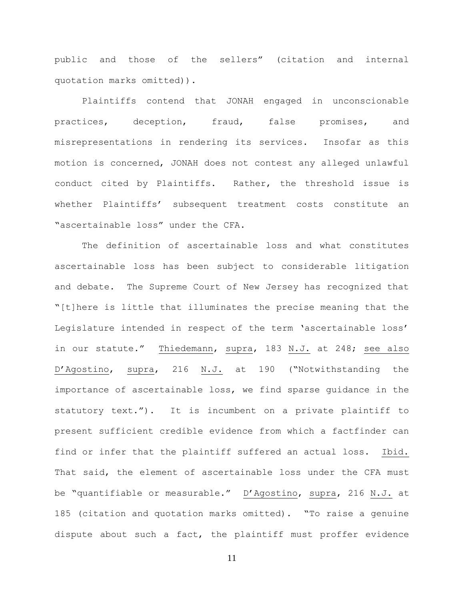public and those of the sellers" (citation and internal quotation marks omitted)).

Plaintiffs contend that JONAH engaged in unconscionable practices, deception, fraud, false promises, and misrepresentations in rendering its services. Insofar as this motion is concerned, JONAH does not contest any alleged unlawful conduct cited by Plaintiffs. Rather, the threshold issue is whether Plaintiffs' subsequent treatment costs constitute an "ascertainable loss" under the CFA.

The definition of ascertainable loss and what constitutes ascertainable loss has been subject to considerable litigation and debate. The Supreme Court of New Jersey has recognized that "[t]here is little that illuminates the precise meaning that the Legislature intended in respect of the term 'ascertainable loss' in our statute." Thiedemann, supra, 183 N.J. at 248; see also D'Agostino, supra, 216 N.J. at 190 ("Notwithstanding the importance of ascertainable loss, we find sparse guidance in the statutory text."). It is incumbent on a private plaintiff to present sufficient credible evidence from which a factfinder can find or infer that the plaintiff suffered an actual loss. Ibid. That said, the element of ascertainable loss under the CFA must be "quantifiable or measurable." D'Agostino, supra, 216 N.J. at 185 (citation and quotation marks omitted). "To raise a genuine dispute about such a fact, the plaintiff must proffer evidence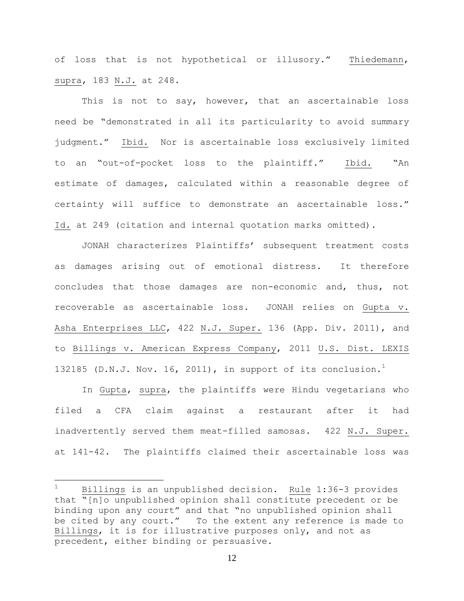of loss that is not hypothetical or illusory." Thiedemann, supra, 183 N.J. at 248.

This is not to say, however, that an ascertainable loss need be "demonstrated in all its particularity to avoid summary judgment." Ibid. Nor is ascertainable loss exclusively limited to an "out-of-pocket loss to the plaintiff." Ibid. "An estimate of damages, calculated within a reasonable degree of certainty will suffice to demonstrate an ascertainable loss." Id. at 249 (citation and internal quotation marks omitted).

JONAH characterizes Plaintiffs' subsequent treatment costs as damages arising out of emotional distress. It therefore concludes that those damages are non-economic and, thus, not recoverable as ascertainable loss. JONAH relies on Gupta v. Asha Enterprises LLC, 422 N.J. Super. 136 (App. Div. 2011), and to Billings v. American Express Company, 2011 U.S. Dist. LEXIS 132185 (D.N.J. Nov. 16, 2011), in support of its conclusion.<sup>1</sup>

In Gupta, supra, the plaintiffs were Hindu vegetarians who filed a CFA claim against a restaurant after it had inadvertently served them meat-filled samosas. 422 N.J. Super. at 141-42. The plaintiffs claimed their ascertainable loss was

 $\overline{a}$ 

 $1$  Billings is an unpublished decision. Rule 1:36-3 provides that "[n]o unpublished opinion shall constitute precedent or be binding upon any court" and that "no unpublished opinion shall be cited by any court." To the extent any reference is made to Billings, it is for illustrative purposes only, and not as precedent, either binding or persuasive.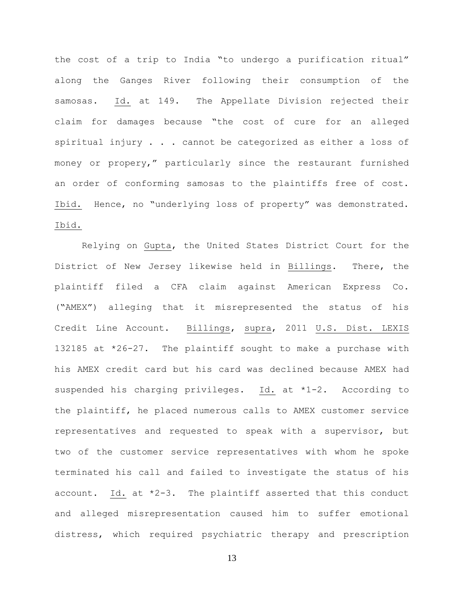the cost of a trip to India "to undergo a purification ritual" along the Ganges River following their consumption of the samosas. Id. at 149. The Appellate Division rejected their claim for damages because "the cost of cure for an alleged spiritual injury . . . cannot be categorized as either a loss of money or propery," particularly since the restaurant furnished an order of conforming samosas to the plaintiffs free of cost. Ibid. Hence, no "underlying loss of property" was demonstrated. Ibid.

Relying on Gupta, the United States District Court for the District of New Jersey likewise held in Billings. There, the plaintiff filed a CFA claim against American Express Co. ("AMEX") alleging that it misrepresented the status of his Credit Line Account. Billings, supra, 2011 U.S. Dist. LEXIS 132185 at \*26-27. The plaintiff sought to make a purchase with his AMEX credit card but his card was declined because AMEX had suspended his charging privileges. Id. at \*1-2. According to the plaintiff, he placed numerous calls to AMEX customer service representatives and requested to speak with a supervisor, but two of the customer service representatives with whom he spoke terminated his call and failed to investigate the status of his account. Id. at \*2-3. The plaintiff asserted that this conduct and alleged misrepresentation caused him to suffer emotional distress, which required psychiatric therapy and prescription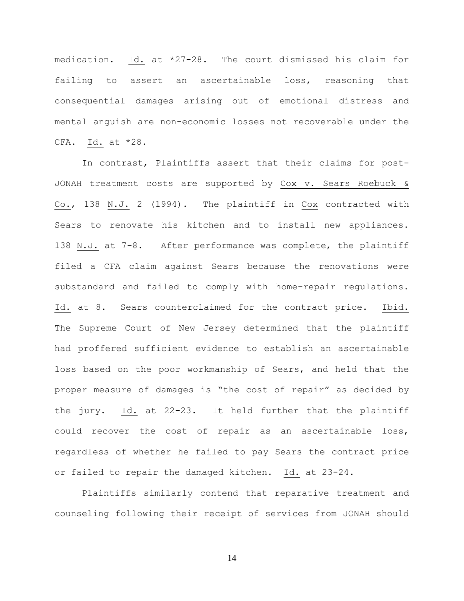medication. Id. at \*27-28. The court dismissed his claim for failing to assert an ascertainable loss, reasoning that consequential damages arising out of emotional distress and mental anguish are non-economic losses not recoverable under the CFA. Id. at \*28.

In contrast, Plaintiffs assert that their claims for post-JONAH treatment costs are supported by Cox v. Sears Roebuck & Co., 138 N.J. 2 (1994). The plaintiff in Cox contracted with Sears to renovate his kitchen and to install new appliances. 138 N.J. at 7-8. After performance was complete, the plaintiff filed a CFA claim against Sears because the renovations were substandard and failed to comply with home-repair regulations. Id. at 8. Sears counterclaimed for the contract price. Ibid. The Supreme Court of New Jersey determined that the plaintiff had proffered sufficient evidence to establish an ascertainable loss based on the poor workmanship of Sears, and held that the proper measure of damages is "the cost of repair" as decided by the jury. Id. at 22-23. It held further that the plaintiff could recover the cost of repair as an ascertainable loss, regardless of whether he failed to pay Sears the contract price or failed to repair the damaged kitchen. Id. at 23-24.

Plaintiffs similarly contend that reparative treatment and counseling following their receipt of services from JONAH should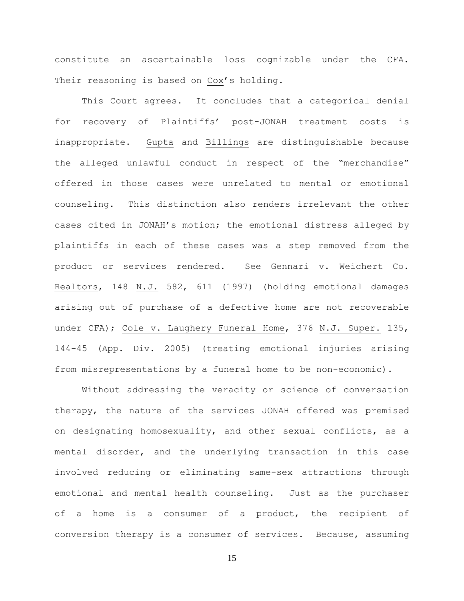constitute an ascertainable loss cognizable under the CFA. Their reasoning is based on Cox's holding.

This Court agrees. It concludes that a categorical denial for recovery of Plaintiffs' post-JONAH treatment costs is inappropriate. Gupta and Billings are distinguishable because the alleged unlawful conduct in respect of the "merchandise" offered in those cases were unrelated to mental or emotional counseling. This distinction also renders irrelevant the other cases cited in JONAH's motion; the emotional distress alleged by plaintiffs in each of these cases was a step removed from the product or services rendered. See Gennari v. Weichert Co. Realtors, 148 N.J. 582, 611 (1997) (holding emotional damages arising out of purchase of a defective home are not recoverable under CFA); Cole v. Laughery Funeral Home, 376 N.J. Super. 135, 144-45 (App. Div. 2005) (treating emotional injuries arising from misrepresentations by a funeral home to be non-economic).

Without addressing the veracity or science of conversation therapy, the nature of the services JONAH offered was premised on designating homosexuality, and other sexual conflicts, as a mental disorder, and the underlying transaction in this case involved reducing or eliminating same-sex attractions through emotional and mental health counseling. Just as the purchaser of a home is a consumer of a product, the recipient of conversion therapy is a consumer of services. Because, assuming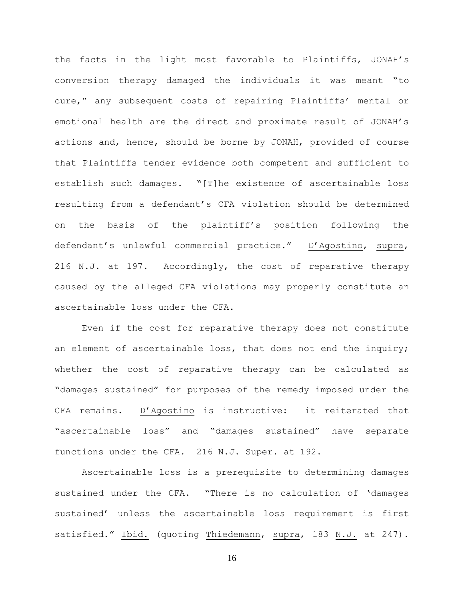the facts in the light most favorable to Plaintiffs, JONAH's conversion therapy damaged the individuals it was meant "to cure," any subsequent costs of repairing Plaintiffs' mental or emotional health are the direct and proximate result of JONAH's actions and, hence, should be borne by JONAH, provided of course that Plaintiffs tender evidence both competent and sufficient to establish such damages. "[T]he existence of ascertainable loss resulting from a defendant's CFA violation should be determined on the basis of the plaintiff's position following the defendant's unlawful commercial practice." D'Agostino, supra, 216 N.J. at 197. Accordingly, the cost of reparative therapy caused by the alleged CFA violations may properly constitute an ascertainable loss under the CFA.

Even if the cost for reparative therapy does not constitute an element of ascertainable loss, that does not end the inquiry; whether the cost of reparative therapy can be calculated as "damages sustained" for purposes of the remedy imposed under the CFA remains. D'Agostino is instructive: it reiterated that "ascertainable loss" and "damages sustained" have separate functions under the CFA. 216 N.J. Super. at 192.

Ascertainable loss is a prerequisite to determining damages sustained under the CFA. "There is no calculation of 'damages sustained' unless the ascertainable loss requirement is first satisfied." Ibid. (quoting Thiedemann, supra, 183 N.J. at 247).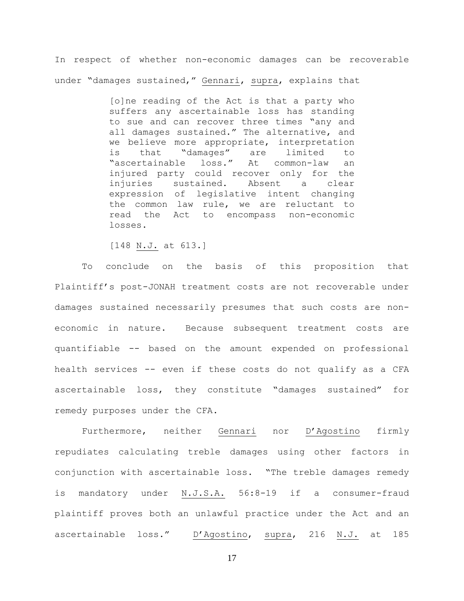In respect of whether non-economic damages can be recoverable under "damages sustained," Gennari, supra, explains that

> [o]ne reading of the Act is that a party who suffers any ascertainable loss has standing to sue and can recover three times "any and all damages sustained." The alternative, and we believe more appropriate, interpretation is that "damages" are limited to "ascertainable loss." At common-law an injured party could recover only for the injuries sustained. Absent a clear expression of legislative intent changing the common law rule, we are reluctant to read the Act to encompass non-economic losses.

[148 N.J. at 613.]

To conclude on the basis of this proposition that Plaintiff's post-JONAH treatment costs are not recoverable under damages sustained necessarily presumes that such costs are noneconomic in nature. Because subsequent treatment costs are quantifiable -- based on the amount expended on professional health services -- even if these costs do not qualify as a CFA ascertainable loss, they constitute "damages sustained" for remedy purposes under the CFA.

Furthermore, neither Gennari nor D'Agostino firmly repudiates calculating treble damages using other factors in conjunction with ascertainable loss. "The treble damages remedy is mandatory under N.J.S.A. 56:8-19 if a consumer-fraud plaintiff proves both an unlawful practice under the Act and an ascertainable loss." D'Agostino, supra, 216 N.J. at 185